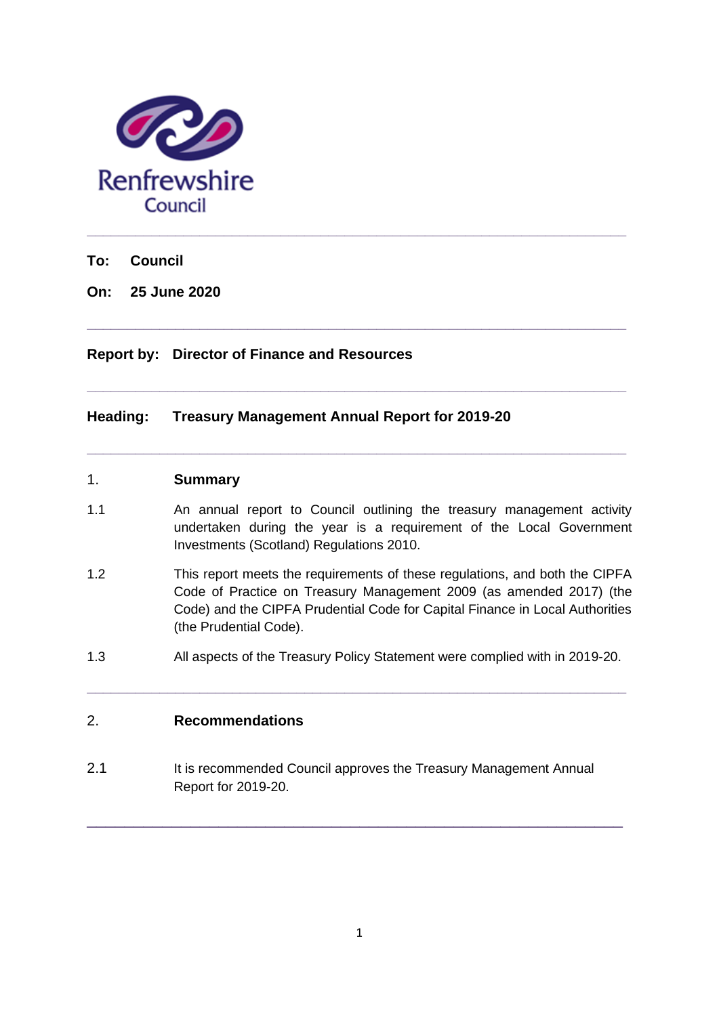

**To: Council**

**On: 25 June 2020**

## **Report by: Director of Finance and Resources**

## **Heading: Treasury Management Annual Report for 2019-20**

#### 1. **Summary**

1.1 An annual report to Council outlining the treasury management activity undertaken during the year is a requirement of the Local Government Investments (Scotland) Regulations 2010.

**\_\_\_\_\_\_\_\_\_\_\_\_\_\_\_\_\_\_\_\_\_\_\_\_\_\_\_\_\_\_\_\_\_\_\_\_\_\_\_\_\_\_\_\_\_\_\_\_\_\_\_\_\_\_\_\_\_\_\_\_\_\_\_\_\_\_\_**

**\_\_\_\_\_\_\_\_\_\_\_\_\_\_\_\_\_\_\_\_\_\_\_\_\_\_\_\_\_\_\_\_\_\_\_\_\_\_\_\_\_\_\_\_\_\_\_\_\_\_\_\_\_\_\_\_\_\_\_\_\_\_\_\_\_\_\_**

**\_\_\_\_\_\_\_\_\_\_\_\_\_\_\_\_\_\_\_\_\_\_\_\_\_\_\_\_\_\_\_\_\_\_\_\_\_\_\_\_\_\_\_\_\_\_\_\_\_\_\_\_\_\_\_\_\_\_\_\_\_\_\_\_\_\_\_**

- 1.2 This report meets the requirements of these regulations, and both the CIPFA Code of Practice on Treasury Management 2009 (as amended 2017) (the Code) and the CIPFA Prudential Code for Capital Finance in Local Authorities (the Prudential Code).
- 1.3 All aspects of the Treasury Policy Statement were complied with in 2019-20.

**\_\_\_\_\_\_\_\_\_\_\_\_\_\_\_\_\_\_\_\_\_\_\_\_\_\_\_\_\_\_\_\_\_\_\_\_\_\_\_\_\_\_\_\_\_\_\_\_\_\_\_\_\_\_\_\_\_\_\_\_\_\_\_\_\_\_\_**

# 2. **Recommendations**

2.1 It is recommended Council approves the Treasury Management Annual Report for 2019-20.

\_\_\_\_\_\_\_\_\_\_\_\_\_\_\_\_\_\_\_\_\_\_\_\_\_\_\_\_\_\_\_\_\_\_\_\_\_\_\_\_\_\_\_\_\_\_\_\_\_\_\_\_\_\_\_\_\_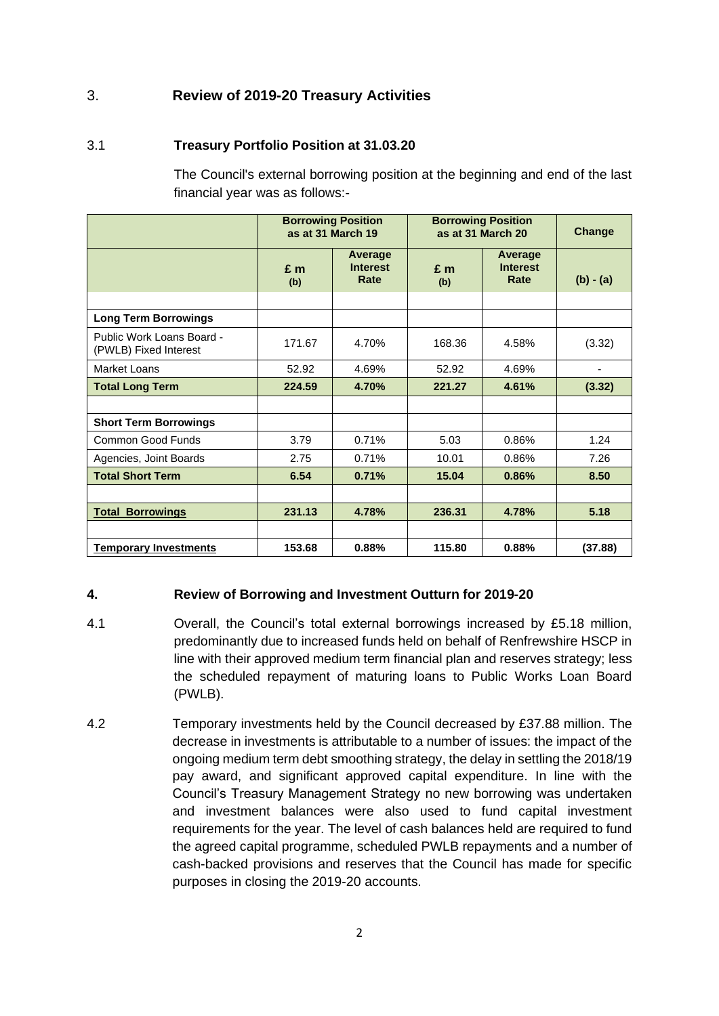# 3. **Review of 2019-20 Treasury Activities**

## 3.1 **Treasury Portfolio Position at 31.03.20**

The Council's external borrowing position at the beginning and end of the last financial year was as follows:-

|                                                    | <b>Borrowing Position</b><br>as at 31 March 19 |                                    | <b>Borrowing Position</b><br>as at 31 March 20 |                                    | <b>Change</b> |
|----------------------------------------------------|------------------------------------------------|------------------------------------|------------------------------------------------|------------------------------------|---------------|
|                                                    | $E$ m<br>(b)                                   | Average<br><b>Interest</b><br>Rate | $E$ m<br>(b)                                   | Average<br><b>Interest</b><br>Rate | $(b) - (a)$   |
|                                                    |                                                |                                    |                                                |                                    |               |
| <b>Long Term Borrowings</b>                        |                                                |                                    |                                                |                                    |               |
| Public Work Loans Board -<br>(PWLB) Fixed Interest | 171.67                                         | 4.70%                              | 168.36                                         | 4.58%                              | (3.32)        |
| Market Loans                                       | 52.92                                          | 4.69%                              | 52.92                                          | 4.69%                              |               |
| <b>Total Long Term</b>                             | 224.59                                         | 4.70%                              | 221.27                                         | 4.61%                              | (3.32)        |
|                                                    |                                                |                                    |                                                |                                    |               |
| <b>Short Term Borrowings</b>                       |                                                |                                    |                                                |                                    |               |
| <b>Common Good Funds</b>                           | 3.79                                           | 0.71%                              | 5.03                                           | 0.86%                              | 1.24          |
| Agencies, Joint Boards                             | 2.75                                           | 0.71%                              | 10.01                                          | 0.86%                              | 7.26          |
| <b>Total Short Term</b>                            | 6.54                                           | 0.71%                              | 15.04                                          | 0.86%                              | 8.50          |
|                                                    |                                                |                                    |                                                |                                    |               |
| <b>Total Borrowings</b>                            | 231.13                                         | 4.78%                              | 236.31                                         | 4.78%                              | 5.18          |
|                                                    |                                                |                                    |                                                |                                    |               |
| <b>Temporary Investments</b>                       | 153.68                                         | 0.88%                              | 115.80                                         | 0.88%                              | (37.88)       |

### **4. Review of Borrowing and Investment Outturn for 2019-20**

- 4.1 Overall, the Council's total external borrowings increased by £5.18 million, predominantly due to increased funds held on behalf of Renfrewshire HSCP in line with their approved medium term financial plan and reserves strategy; less the scheduled repayment of maturing loans to Public Works Loan Board (PWLB).
- 4.2 Temporary investments held by the Council decreased by £37.88 million. The decrease in investments is attributable to a number of issues: the impact of the ongoing medium term debt smoothing strategy, the delay in settling the 2018/19 pay award, and significant approved capital expenditure. In line with the Council's Treasury Management Strategy no new borrowing was undertaken and investment balances were also used to fund capital investment requirements for the year. The level of cash balances held are required to fund the agreed capital programme, scheduled PWLB repayments and a number of cash-backed provisions and reserves that the Council has made for specific purposes in closing the 2019-20 accounts.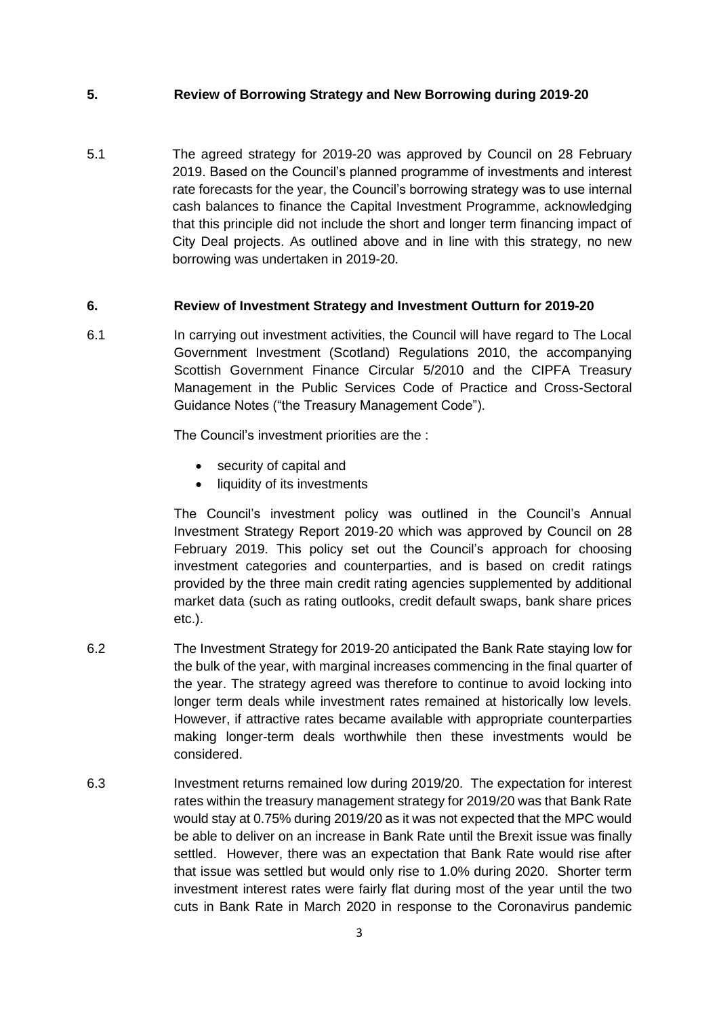### **5. Review of Borrowing Strategy and New Borrowing during 2019-20**

5.1 The agreed strategy for 2019-20 was approved by Council on 28 February 2019. Based on the Council's planned programme of investments and interest rate forecasts for the year, the Council's borrowing strategy was to use internal cash balances to finance the Capital Investment Programme, acknowledging that this principle did not include the short and longer term financing impact of City Deal projects. As outlined above and in line with this strategy, no new borrowing was undertaken in 2019-20.

#### **6. Review of Investment Strategy and Investment Outturn for 2019-20**

6.1 In carrying out investment activities, the Council will have regard to The Local Government Investment (Scotland) Regulations 2010, the accompanying Scottish Government Finance Circular 5/2010 and the CIPFA Treasury Management in the Public Services Code of Practice and Cross-Sectoral Guidance Notes ("the Treasury Management Code").

The Council's investment priorities are the :

- security of capital and
- liquidity of its investments

The Council's investment policy was outlined in the Council's Annual Investment Strategy Report 2019-20 which was approved by Council on 28 February 2019. This policy set out the Council's approach for choosing investment categories and counterparties, and is based on credit ratings provided by the three main credit rating agencies supplemented by additional market data (such as rating outlooks, credit default swaps, bank share prices etc.).

- 6.2 The Investment Strategy for 2019-20 anticipated the Bank Rate staying low for the bulk of the year, with marginal increases commencing in the final quarter of the year. The strategy agreed was therefore to continue to avoid locking into longer term deals while investment rates remained at historically low levels. However, if attractive rates became available with appropriate counterparties making longer-term deals worthwhile then these investments would be considered.
- 6.3 Investment returns remained low during 2019/20. The expectation for interest rates within the treasury management strategy for 2019/20 was that Bank Rate would stay at 0.75% during 2019/20 as it was not expected that the MPC would be able to deliver on an increase in Bank Rate until the Brexit issue was finally settled. However, there was an expectation that Bank Rate would rise after that issue was settled but would only rise to 1.0% during 2020. Shorter term investment interest rates were fairly flat during most of the year until the two cuts in Bank Rate in March 2020 in response to the Coronavirus pandemic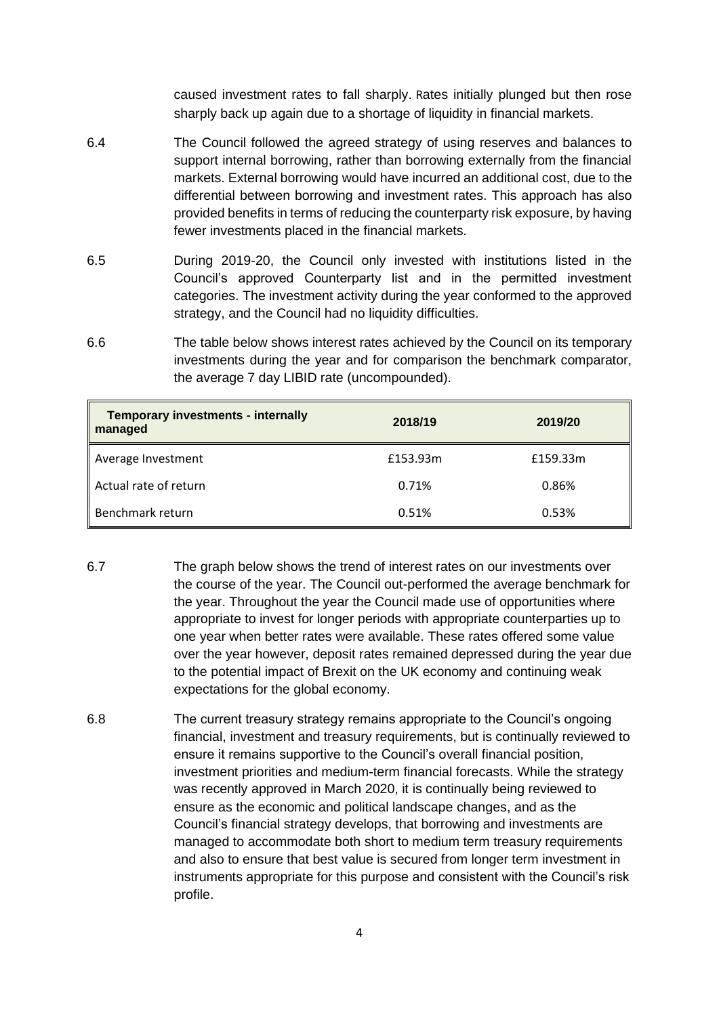caused investment rates to fall sharply. Rates initially plunged but then rose sharply back up again due to a shortage of liquidity in financial markets.

- 6.4 The Council followed the agreed strategy of using reserves and balances to support internal borrowing, rather than borrowing externally from the financial markets. External borrowing would have incurred an additional cost, due to the differential between borrowing and investment rates. This approach has also provided benefits in terms of reducing the counterparty risk exposure, by having fewer investments placed in the financial markets.
- 6.5 During 2019-20, the Council only invested with institutions listed in the Council's approved Counterparty list and in the permitted investment categories. The investment activity during the year conformed to the approved strategy, and the Council had no liquidity difficulties.
- 6.6 The table below shows interest rates achieved by the Council on its temporary investments during the year and for comparison the benchmark comparator, the average 7 day LIBID rate (uncompounded).

| <b>Temporary investments - internally</b><br>managed | 2018/19  | 2019/20  |
|------------------------------------------------------|----------|----------|
| Average Investment                                   | £153.93m | £159.33m |
| Actual rate of return                                | 0.71%    | 0.86%    |
| Benchmark return                                     | 0.51%    | 0.53%    |

- 6.7 The graph below shows the trend of interest rates on our investments over the course of the year. The Council out-performed the average benchmark for the year. Throughout the year the Council made use of opportunities where appropriate to invest for longer periods with appropriate counterparties up to one year when better rates were available. These rates offered some value over the year however, deposit rates remained depressed during the year due to the potential impact of Brexit on the UK economy and continuing weak expectations for the global economy.
- 6.8 The current treasury strategy remains appropriate to the Council's ongoing financial, investment and treasury requirements, but is continually reviewed to ensure it remains supportive to the Council's overall financial position, investment priorities and medium-term financial forecasts. While the strategy was recently approved in March 2020, it is continually being reviewed to ensure as the economic and political landscape changes, and as the Council's financial strategy develops, that borrowing and investments are managed to accommodate both short to medium term treasury requirements and also to ensure that best value is secured from longer term investment in instruments appropriate for this purpose and consistent with the Council's risk profile.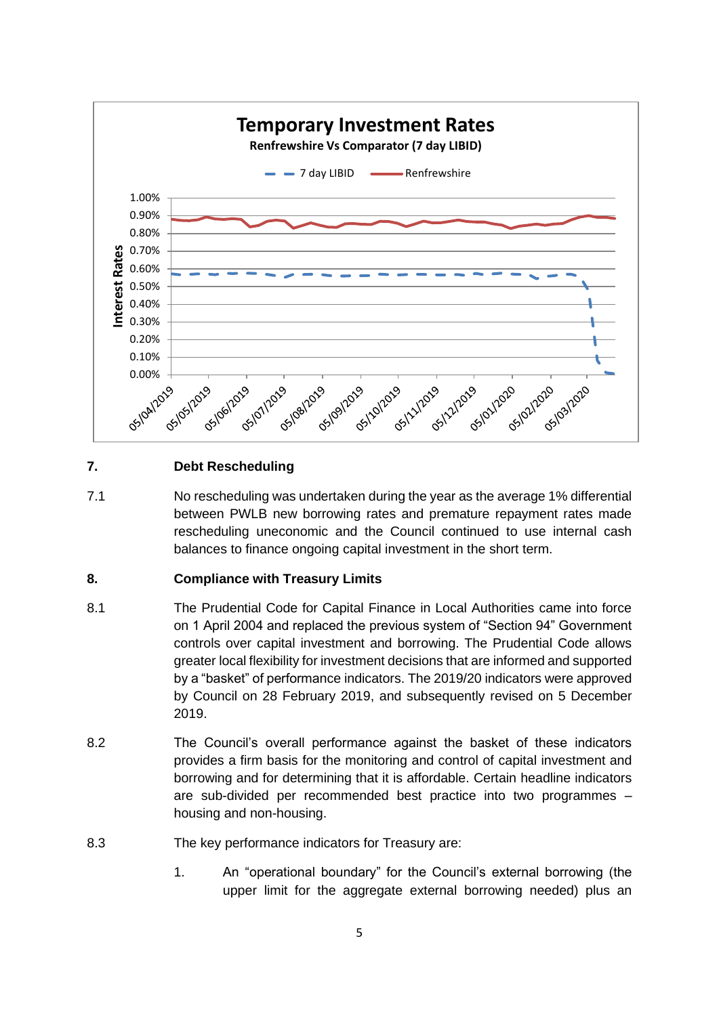

## **7. Debt Rescheduling**

7.1 No rescheduling was undertaken during the year as the average 1% differential between PWLB new borrowing rates and premature repayment rates made rescheduling uneconomic and the Council continued to use internal cash balances to finance ongoing capital investment in the short term.

### **8. Compliance with Treasury Limits**

- 8.1 The Prudential Code for Capital Finance in Local Authorities came into force on 1 April 2004 and replaced the previous system of "Section 94" Government controls over capital investment and borrowing. The Prudential Code allows greater local flexibility for investment decisions that are informed and supported by a "basket" of performance indicators. The 2019/20 indicators were approved by Council on 28 February 2019, and subsequently revised on 5 December 2019.
- 8.2 The Council's overall performance against the basket of these indicators provides a firm basis for the monitoring and control of capital investment and borrowing and for determining that it is affordable. Certain headline indicators are sub-divided per recommended best practice into two programmes – housing and non-housing.
- 8.3 The key performance indicators for Treasury are:
	- 1. An "operational boundary" for the Council's external borrowing (the upper limit for the aggregate external borrowing needed) plus an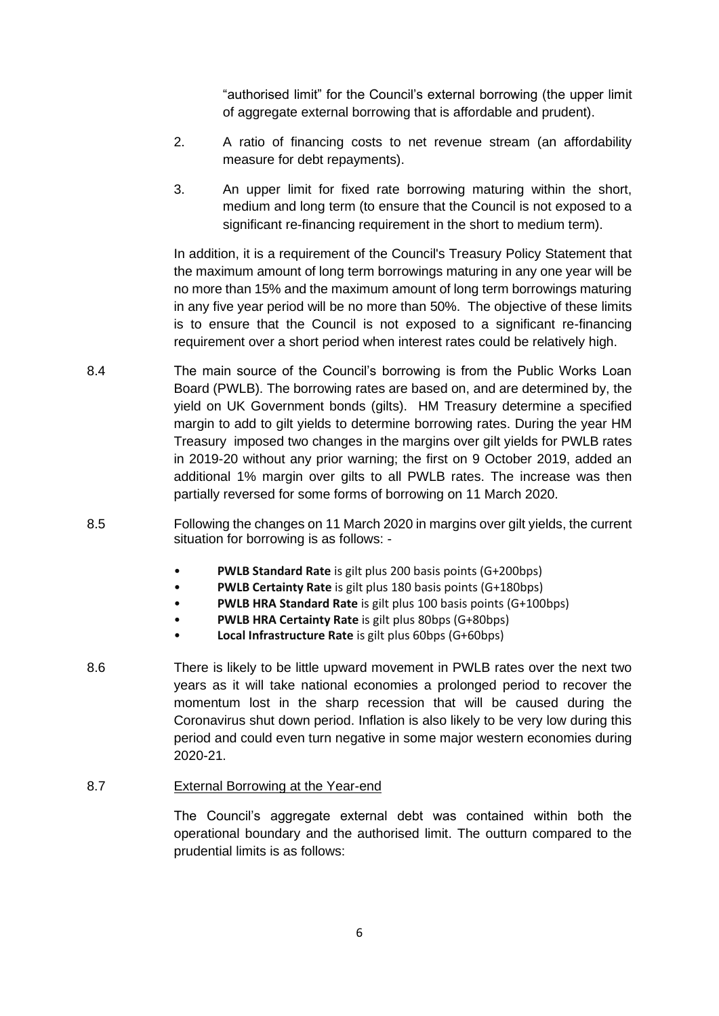"authorised limit" for the Council's external borrowing (the upper limit of aggregate external borrowing that is affordable and prudent).

- 2. A ratio of financing costs to net revenue stream (an affordability measure for debt repayments).
- 3. An upper limit for fixed rate borrowing maturing within the short, medium and long term (to ensure that the Council is not exposed to a significant re-financing requirement in the short to medium term).

In addition, it is a requirement of the Council's Treasury Policy Statement that the maximum amount of long term borrowings maturing in any one year will be no more than 15% and the maximum amount of long term borrowings maturing in any five year period will be no more than 50%. The objective of these limits is to ensure that the Council is not exposed to a significant re-financing requirement over a short period when interest rates could be relatively high.

- 8.4 The main source of the Council's borrowing is from the Public Works Loan Board (PWLB). The borrowing rates are based on, and are determined by, the yield on UK Government bonds (gilts). HM Treasury determine a specified margin to add to gilt yields to determine borrowing rates. During the year HM Treasury imposed two changes in the margins over gilt yields for PWLB rates in 2019-20 without any prior warning; the first on 9 October 2019, added an additional 1% margin over gilts to all PWLB rates. The increase was then partially reversed for some forms of borrowing on 11 March 2020.
- 8.5 Following the changes on 11 March 2020 in margins over gilt yields, the current situation for borrowing is as follows: -
	- **PWLB Standard Rate** is gilt plus 200 basis points (G+200bps)
	- **PWLB Certainty Rate** is gilt plus 180 basis points (G+180bps)
	- **PWLB HRA Standard Rate** is gilt plus 100 basis points (G+100bps)
	- **PWLB HRA Certainty Rate** is gilt plus 80bps (G+80bps)
	- **Local Infrastructure Rate** is gilt plus 60bps (G+60bps)
- 8.6 There is likely to be little upward movement in PWLB rates over the next two years as it will take national economies a prolonged period to recover the momentum lost in the sharp recession that will be caused during the Coronavirus shut down period. Inflation is also likely to be very low during this period and could even turn negative in some major western economies during 2020-21.
- 8.7 External Borrowing at the Year-end

The Council's aggregate external debt was contained within both the operational boundary and the authorised limit. The outturn compared to the prudential limits is as follows: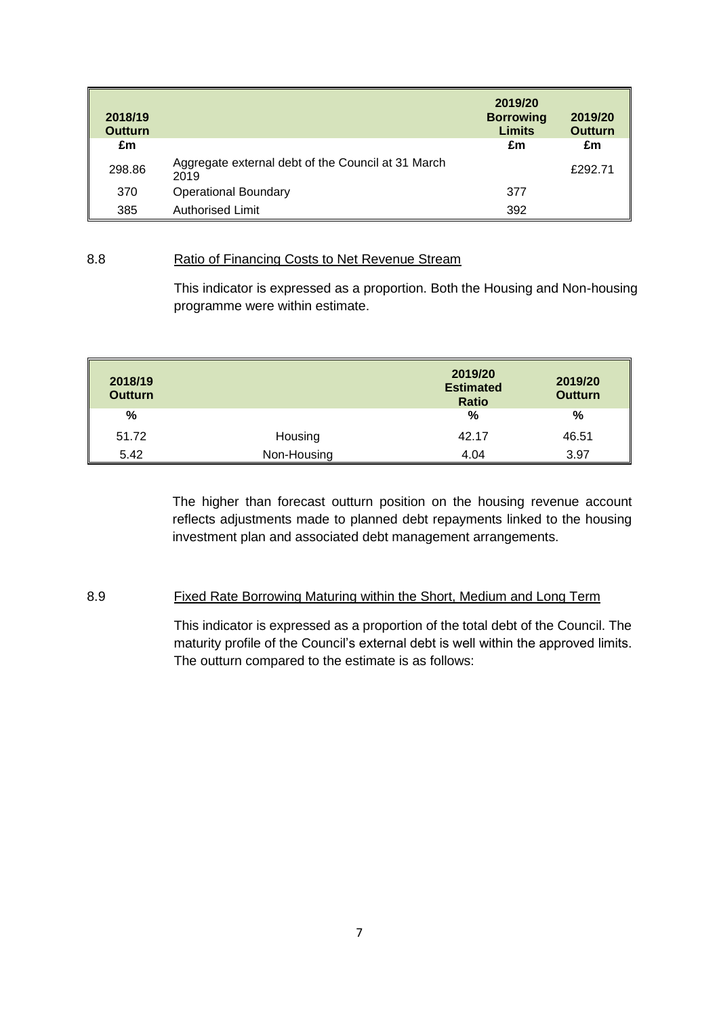| 2018/19<br><b>Outturn</b> |                                                            | 2019/20<br><b>Borrowing</b><br><b>Limits</b> | 2019/20<br><b>Outturn</b> |
|---------------------------|------------------------------------------------------------|----------------------------------------------|---------------------------|
| £m                        |                                                            | £m                                           | £m                        |
| 298.86                    | Aggregate external debt of the Council at 31 March<br>2019 |                                              | £292.71                   |
| 370                       | <b>Operational Boundary</b>                                | 377                                          |                           |
| 385                       | <b>Authorised Limit</b>                                    | 392                                          |                           |

#### 8.8 Ratio of Financing Costs to Net Revenue Stream

This indicator is expressed as a proportion. Both the Housing and Non-housing programme were within estimate.

| 2018/19<br><b>Outturn</b> |             | 2019/20<br><b>Estimated</b><br><b>Ratio</b> | 2019/20<br><b>Outturn</b> |
|---------------------------|-------------|---------------------------------------------|---------------------------|
| %                         |             | %                                           | %                         |
| 51.72                     | Housing     | 42.17                                       | 46.51                     |
| 5.42                      | Non-Housing | 4.04                                        | 3.97                      |

The higher than forecast outturn position on the housing revenue account reflects adjustments made to planned debt repayments linked to the housing investment plan and associated debt management arrangements.

#### 8.9 Fixed Rate Borrowing Maturing within the Short, Medium and Long Term

This indicator is expressed as a proportion of the total debt of the Council. The maturity profile of the Council's external debt is well within the approved limits. The outturn compared to the estimate is as follows: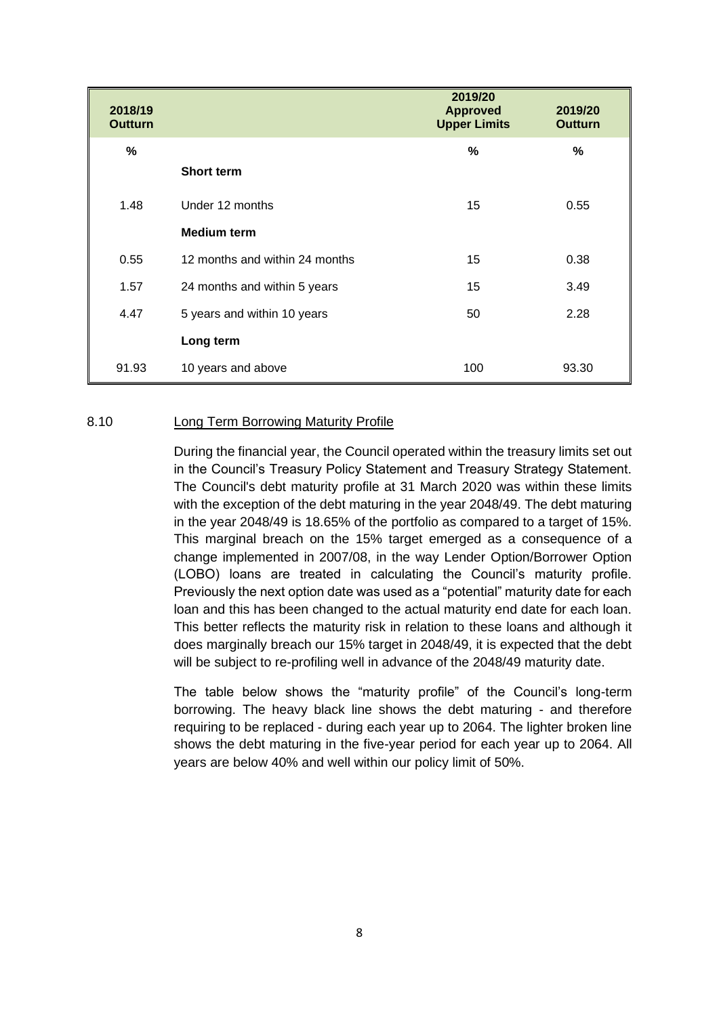| 2018/19<br><b>Outturn</b> |                                | 2019/20<br><b>Approved</b><br><b>Upper Limits</b> | 2019/20<br><b>Outturn</b> |
|---------------------------|--------------------------------|---------------------------------------------------|---------------------------|
| %                         |                                | %                                                 | %                         |
|                           | <b>Short term</b>              |                                                   |                           |
| 1.48                      | Under 12 months                | 15                                                | 0.55                      |
|                           | <b>Medium term</b>             |                                                   |                           |
| 0.55                      | 12 months and within 24 months | 15                                                | 0.38                      |
| 1.57                      | 24 months and within 5 years   | 15                                                | 3.49                      |
| 4.47                      | 5 years and within 10 years    | 50                                                | 2.28                      |
|                           | Long term                      |                                                   |                           |
| 91.93                     | 10 years and above             | 100                                               | 93.30                     |

#### 8.10 Long Term Borrowing Maturity Profile

During the financial year, the Council operated within the treasury limits set out in the Council's Treasury Policy Statement and Treasury Strategy Statement. The Council's debt maturity profile at 31 March 2020 was within these limits with the exception of the debt maturing in the year 2048/49. The debt maturing in the year 2048/49 is 18.65% of the portfolio as compared to a target of 15%. This marginal breach on the 15% target emerged as a consequence of a change implemented in 2007/08, in the way Lender Option/Borrower Option (LOBO) loans are treated in calculating the Council's maturity profile. Previously the next option date was used as a "potential" maturity date for each loan and this has been changed to the actual maturity end date for each loan. This better reflects the maturity risk in relation to these loans and although it does marginally breach our 15% target in 2048/49, it is expected that the debt will be subject to re-profiling well in advance of the 2048/49 maturity date.

The table below shows the "maturity profile" of the Council's long-term borrowing. The heavy black line shows the debt maturing - and therefore requiring to be replaced - during each year up to 2064. The lighter broken line shows the debt maturing in the five-year period for each year up to 2064. All years are below 40% and well within our policy limit of 50%.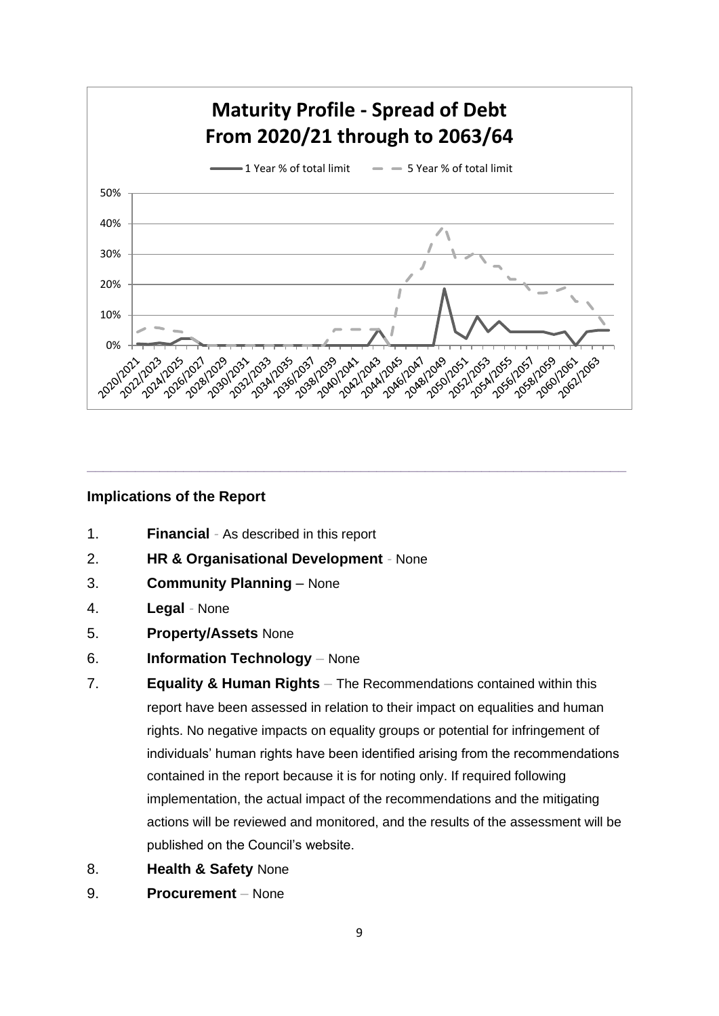

**\_\_\_\_\_\_\_\_\_\_\_\_\_\_\_\_\_\_\_\_\_\_\_\_\_\_\_\_\_\_\_\_\_\_\_\_\_\_\_\_\_\_\_\_\_\_\_\_\_\_\_\_\_\_\_\_\_\_\_\_\_\_\_\_\_\_\_**

# **Implications of the Report**

- 1. **Financial** *-* As described in this report
- 2. **HR & Organisational Development** *-* None
- 3. **Community Planning** None
- 4. **Legal** *-* None
- 5. **Property/Assets** None
- 6. **Information Technology** *–* None
- 7. **Equality & Human Rights** *–* The Recommendations contained within this report have been assessed in relation to their impact on equalities and human rights. No negative impacts on equality groups or potential for infringement of individuals' human rights have been identified arising from the recommendations contained in the report because it is for noting only. If required following implementation, the actual impact of the recommendations and the mitigating actions will be reviewed and monitored, and the results of the assessment will be published on the Council's website.
- 8. **Health & Safety** None
- 9. **Procurement** *–* None